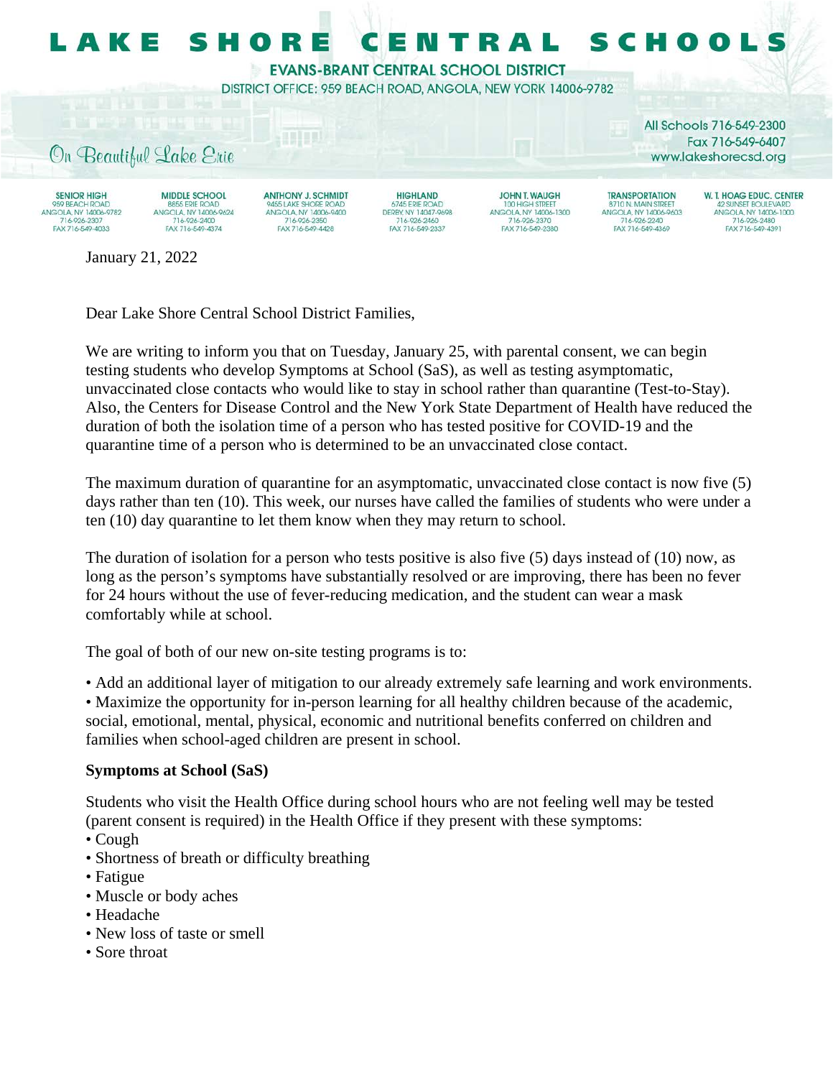

Dear Lake Shore Central School District Families,

We are writing to inform you that on Tuesday, January 25, with parental consent, we can begin testing students who develop Symptoms at School (SaS), as well as testing asymptomatic, unvaccinated close contacts who would like to stay in school rather than quarantine (Test-to-Stay). Also, the Centers for Disease Control and the New York State Department of Health have reduced the duration of both the isolation time of a person who has tested positive for COVID-19 and the quarantine time of a person who is determined to be an unvaccinated close contact.

The maximum duration of quarantine for an asymptomatic, unvaccinated close contact is now five (5) days rather than ten (10). This week, our nurses have called the families of students who were under a ten (10) day quarantine to let them know when they may return to school.

The duration of isolation for a person who tests positive is also five (5) days instead of (10) now, as long as the person's symptoms have substantially resolved or are improving, there has been no fever for 24 hours without the use of fever-reducing medication, and the student can wear a mask comfortably while at school.

The goal of both of our new on-site testing programs is to:

• Add an additional layer of mitigation to our already extremely safe learning and work environments.

• Maximize the opportunity for in-person learning for all healthy children because of the academic, social, emotional, mental, physical, economic and nutritional benefits conferred on children and families when school-aged children are present in school.

## **Symptoms at School (SaS)**

Students who visit the Health Office during school hours who are not feeling well may be tested (parent consent is required) in the Health Office if they present with these symptoms:

- Cough
- Shortness of breath or difficulty breathing
- Fatigue
- Muscle or body aches
- Headache
- New loss of taste or smell
- Sore throat